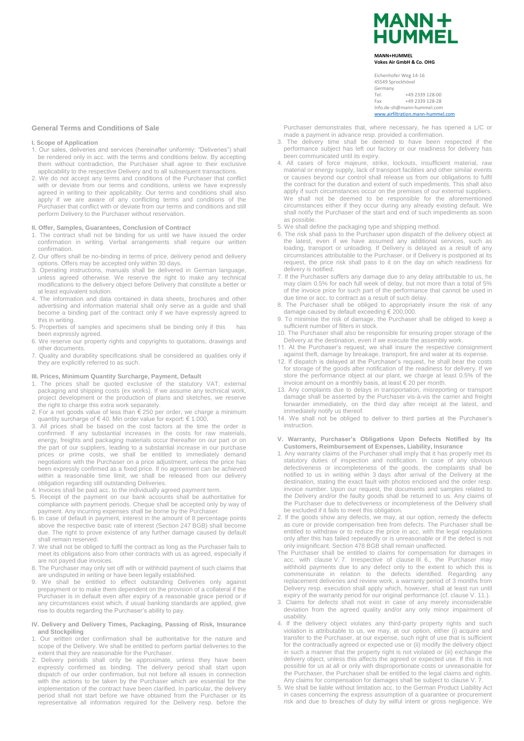# **MANN+ HUMMEL**

#### **MANN+HUMMEL Vokes Air GmbH & Co. OHG**

Eichenhofer Weg 14-16 45549 Sprockhövel Germany<br>Tel. Tel. +49 2339 128-00<br>Fax +49 2339 128-28 Fax +49 2339 128-28 Info.de-sh@mann-hummel.com [www.airfiltration.mann-hummel.com](http://www.airfiltration.mann-hummel.com/)

## **General Terms and Conditions of Sale**

## **I. Scope of Application**

- 1. Our sales, deliveries and services (hereinafter uniformly: "Deliveries") shall be rendered only in acc. with the terms and conditions below. By accepting them without contradiction, the Purchaser shall agree to their exclusive applicability to the respective Delivery and to all subsequent transactions.
- 2. We do not accept any terms and conditions of the Purchaser that conflict with or deviate from our terms and conditions, unless we have expressly agreed in writing to their applicability. Our terms and conditions shall also apply if we are aware of any conflicting terms and conditions of the Purchaser that conflict with or deviate from our terms and conditions and still perform Delivery to the Purchaser without reservation.

## **II. Offer, Samples, Guarantees, Conclusion of Contract**

- 1. The contract shall not be binding for us until we have issued the order confirmation in writing. Verbal arrangements shall require our written confirmation.
- 2. Our offers shall be no-binding in terms of price, delivery period and delivery options. Offers may be accepted only within 30 days.
- 3. Operating instructions, manuals shall be delivered in German language, unless agreed otherwise. We reserve the right to make any technical modifications to the delivery object before Delivery that constitute a better or at least equivalent solution.
- 4. The information and data contained in data sheets, brochures and other advertising and information material shall only serve as a guide and shall become a binding part of the contract only if we have expressly agreed to this in writing.
- 5. Properties of samples and specimens shall be binding only if this has been expressly agreed.
- 6. We reserve our property rights and copyrights to quotations, drawings and other documents.
- 7. Quality and durability specifications shall be considered as qualities only if they are explicitly referred to as such.

## **III. Prices, Minimum Quantity Surcharge, Payment, Default**

- 1. The prices shall be quoted exclusive of the statutory VAT, external packaging and shipping costs (ex works). If we assume any technical work, project development or the production of plans and sketches, we reserve the right to charge this extra work separately.
- 2. For a net goods value of less than € 250 per order, we charge a minimum quantity surcharge of € 40. Min order value for export: € 1.000,
- 3. All prices shall be based on the cost factors at the time the order is confirmed. If any substantial increases in the costs for raw materials, energy, freights and packaging materials occur thereafter on our part or on the part of our suppliers, leading to a substantial increase in our purchase prices or prime costs, we shall be entitled to immediately demand negotiations with the Purchaser on a price adjustment, unless the price has been expressly confirmed as a fixed price. If no agreement can be achieved within a reasonable time limit, we shall be released from our delivery obligation regarding still outstanding Deliveries.
- 4. Invoices shall be paid acc. to the individually agreed payment term.
- 5. Receipt of the payment on our bank accounts shall be authoritative for compliance with payment periods. Cheque shall be accepted only by way of payment. Any incurring expenses shall be borne by the Purchaser.
- 6. In case of default in payment, interest in the amount of 8 percentage points above the respective basic rate of interest (Section 247 BGB) shall become due. The right to prove existence of any further damage caused by default shall remain reserved.
- 7. We shall not be obliged to fulfil the contract as long as the Purchaser fails to meet its obligations also from other contracts with us as agreed, especially if are not payed due invoices.
- 8. The Purchaser may only set off with or withhold payment of such claims that are undisputed in writing or have been legally established.
- 9. We shall be entitled to effect outstanding Deliveries only against prepayment or to make them dependent on the provision of a collateral if the Purchaser is in default even after expiry of a reasonable grace period or if any circumstances exist which, if usual banking standards are applied, give rise to doubts regarding the Purchaser's ability to pay.
- **IV. Delivery and Delivery Times, Packaging, Passing of Risk, Insurance and Stockpiling**
- 1. Our written order confirmation shall be authoritative for the nature and scope of the Delivery. We shall be entitled to perform partial deliveries to the extent that they are reasonable for the Purchaser.
- 2. Delivery periods shall only be approximate, unless they have been expressly confirmed as binding. The delivery period shall start upon dispatch of our order confirmation, but not before all issues in connection with the actions to be taken by the Purchaser which are essential for the implementation of the contract have been clarified. In particular, the delivery period shall not start before we have obtained from the Purchaser or its representative all information required for the Delivery resp. before the

Purchaser demonstrates that, where necessary, he has opened a L/C or made a payment in advance resp. provided a confirmation.

- 3. The delivery time shall be deemed to have been respected if the performance subject has left our factory or our readiness for delivery has been communicated until its expiry.
- 4. All cases of force majeure, strike, lockouts, insufficient material, raw material or energy supply, lack of transport facilities and other similar events or causes beyond our control shall release us from our obligations to fulfil the contract for the duration and extent of such impediments. This shall also apply if such circumstances occur on the premises of our external suppliers. We shall not be deemed to be responsible for the aforementioned circumstances either if they occur during any already existing default. We shall notify the Purchaser of the start and end of such impediments as soon as possible.
- 5. We shall define the packaging type and shipping method.
- 6. The risk shall pass to the Purchaser upon dispatch of the delivery object at the latest, even if we have assumed any additional services, such as loading, transport or unloading. If Delivery is delayed as a result of any circumstances attributable to the Purchaser, or if Delivery is postponed at its request, the price risk shall pass to it on the day on which readiness for delivery is notified.
- 7. If the Purchaser suffers any damage due to any delay attributable to us, he may claim 0.5% for each full week of delay, but not more than a total of 5% of the invoice price for such part of the performance that cannot be used in due time or acc. to contract as a result of such delay.
- 8. The Purchaser shall be obliged to appropriately insure the risk of any damage caused by default exceeding € 200,000.
- 9. To minimise the risk of damage, the Purchaser shall be obliged to keep a sufficient number of filters in stock.
- 10. The Purchaser shall also be responsible for ensuring proper storage of the Delivery at the destination, even if we execute the assembly work.
- 11. At the Purchaser's request, we shall insure the respective consignment against theft, damage by breakage, transport, fire and water at its expense.
- 12. If dispatch is delayed at the Purchaser's request, he shall bear the costs for storage of the goods after notification of the readiness for delivery. If we store the performance object at our plant, we charge at least 0.5% of the invoice amount on a monthly basis, at least € 20 per month.
- 13. Any complaints due to delays in transportation, misreporting or transport damage shall be asserted by the Purchaser vis-à-vis the carrier and freight forwarder immediately, on the third day after receipt at the latest, and immediately notify us thereof.
- 14. We shall not be obliged to deliver to third parties at the Purchaser's instruction.
- **V. Warranty, Purchaser's Obligations Upon Defects Notified by Its Customers, Reimbursement of Expenses, Liability, Insurance**
- Any warranty claims of the Purchaser shall imply that it has properly met its statutory duties of inspection and notification. In case of any obvious defectiveness or incompleteness of the goods, the complaints shall be notified to us in writing within 3 days after arrival of the Delivery at the destination, stating the exact fault with photos enclosed and the order resp. invoice number. Upon our request, the documents and samples related to the Delivery and/or the faulty goods shall be returned to us. Any claims of the Purchaser due to defectiveness or incompleteness of the Delivery shall be excluded if it fails to meet this obligation.
- 2. If the goods show any defects, we may, at our option, remedy the defects as cure or provide compensation free from defects. The Purchaser shall be entitled to withdraw or to reduce the price in acc. with the legal regulations only after this has failed repeatedly or is unreasonable or if the defect is not only insignificant. Section 478 BGB shall remain unaffected.
- The Purchaser shall be entitled to claims for compensation for damages in acc. with clause V. 7. Irrespective of clause III. 6., the Purchaser may withhold payments due to any defect only to the extent to which this is commensurate in relation to the defects identified. Regarding any replacement deliveries and review work, a warranty period of 3 months from Delivery resp. execution shall apply which, however, shall at least run until expiry of the warranty period for our original performance (cf. clause V. 11.).
- 3. Claims for defects shall not exist in case of any merely inconsiderable deviation from the agreed quality and/or any only minor impairment of usability.
- 4. If the delivery object violates any third-party property rights and such violation is attributable to us, we may, at our option, either (i) acquire and transfer to the Purchaser, at our expense, such right of use that is sufficient for the contractually agreed or expected use or (ii) modify the delivery object in such a manner that the property right is not violated or (iii) exchange the delivery object, unless this affects the agreed or expected use. If this is not possible for us at all or only with disproportionate costs or unreasonable for the Purchaser, the Purchaser shall be entitled to the legal claims and rights. Any claims for compensation for damages shall be subject to clause V. 7.
- 5. We shall be liable without limitation acc. to the German Product Liability Act in cases concerning the express assumption of a guarantee or procurement risk and due to breaches of duty by wilful intent or gross negligence. We